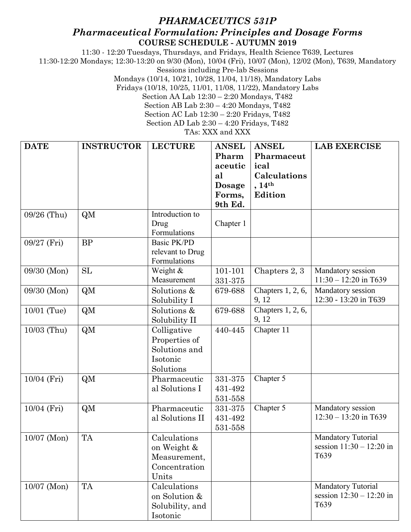## *PHARMACEUTICS 531P Pharmaceutical Formulation: Principles and Dosage Forms* **COURSE SCHEDULE - AUTUMN 2019**

11:30 - 12:20 Tuesdays, Thursdays, and Fridays, Health Science T639, Lectures

11:30-12:20 Mondays; 12:30-13:20 on 9/30 (Mon), 10/04 (Fri), 10/07 (Mon), 12/02 (Mon), T639, Mandatory

Sessions including Pre-lab Sessions

Mondays (10/14, 10/21, 10/28, 11/04, 11/18), Mandatory Labs

Fridays (10/18, 10/25, 11/01, 11/08, 11/22), Mandatory Labs

Section AA Lab 12:30 – 2:20 Mondays, T482

Section AB Lab 2:30 – 4:20 Mondays, T482

Section AC Lab 12:30 – 2:20 Fridays, T482

Section AD Lab 2:30 – 4:20 Fridays, T482

TAs: XXX and XXX

| <b>DATE</b>   | <b>INSTRUCTOR</b> | <b>LECTURE</b>                                                         | <b>ANSEL</b><br>Pharm<br>aceutic<br>al<br>Dosage<br>Forms,<br>9th Ed. | <b>ANSEL</b><br>Pharmaceut<br>ical<br>Calculations<br>, 14 <sup>th</sup><br>Edition | <b>LAB EXERCISE</b>                                             |
|---------------|-------------------|------------------------------------------------------------------------|-----------------------------------------------------------------------|-------------------------------------------------------------------------------------|-----------------------------------------------------------------|
| 09/26 (Thu)   | QM                | Introduction to<br>Drug<br>Formulations                                | Chapter 1                                                             |                                                                                     |                                                                 |
| 09/27 (Fri)   | <b>BP</b>         | Basic PK/PD<br>relevant to Drug<br>Formulations                        |                                                                       |                                                                                     |                                                                 |
| 09/30 (Mon)   | <b>SL</b>         | Weight &<br>Measurement                                                | 101-101<br>331-375                                                    | Chapters 2, 3                                                                       | Mandatory session<br>$11:30 - 12:20$ in T639                    |
| 09/30 (Mon)   | QM                | Solutions &<br>Solubility I                                            | 679-688                                                               | Chapters 1, 2, 6,<br>9, 12                                                          | Mandatory session<br>12:30 - 13:20 in T639                      |
| 10/01 (Tue)   | QM                | Solutions &<br>Solubility II                                           | 679-688                                                               | Chapters $1, 2, 6$ ,<br>9, 12                                                       |                                                                 |
| 10/03 (Thu)   | QM                | Colligative<br>Properties of<br>Solutions and<br>Isotonic<br>Solutions | 440-445                                                               | Chapter 11                                                                          |                                                                 |
| 10/04 (Fri)   | QM                | Pharmaceutic<br>al Solutions I                                         | 331-375<br>431-492<br>531-558                                         | Chapter 5                                                                           |                                                                 |
| 10/04 (Fri)   | QM                | Pharmaceutic<br>al Solutions II                                        | 331-375<br>431-492<br>531-558                                         | Chapter 5                                                                           | Mandatory session<br>$12:30 - 13:20$ in T639                    |
| $10/07$ (Mon) | TA                | Calculations<br>on Weight &<br>Measurement,<br>Concentration<br>Units  |                                                                       |                                                                                     | <b>Mandatory Tutorial</b><br>session $11:30 - 12:20$ in<br>T639 |
| 10/07 (Mon)   | <b>TA</b>         | Calculations<br>on Solution &<br>Solubility, and<br>Isotonic           |                                                                       |                                                                                     | Mandatory Tutorial<br>session $12:30 - 12:20$ in<br>T639        |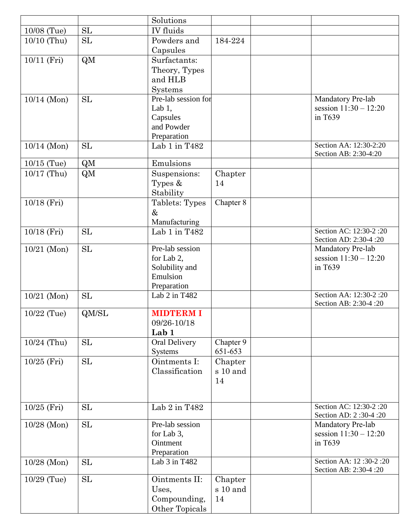|               |           | Solutions           |           |                         |
|---------------|-----------|---------------------|-----------|-------------------------|
| 10/08 (Tue)   | SL        | IV fluids           |           |                         |
| 10/10 (Thu)   | SL        | Powders and         | 184-224   |                         |
|               |           | Capsules            |           |                         |
| 10/11 (Fri)   | QM        | Surfactants:        |           |                         |
|               |           | Theory, Types       |           |                         |
|               |           | and HLB             |           |                         |
|               |           | Systems             |           |                         |
| $10/14$ (Mon) | SL        | Pre-lab session for |           | Mandatory Pre-lab       |
|               |           | Lab $1$ ,           |           | session $11:30 - 12:20$ |
|               |           | Capsules            |           | in T639                 |
|               |           | and Powder          |           |                         |
|               |           | Preparation         |           |                         |
| $10/14$ (Mon) | <b>SL</b> | Lab 1 in T482       |           | Section AA: 12:30-2:20  |
|               |           |                     |           | Section AB: 2:30-4:20   |
| $10/15$ (Tue) | QM        | Emulsions           |           |                         |
| $10/17$ (Thu) | QM        | Suspensions:        | Chapter   |                         |
|               |           | Types $\&$          | 14        |                         |
|               |           | Stability           |           |                         |
| $10/18$ (Fri) |           | Tablets: Types      | Chapter 8 |                         |
|               |           | $\&$                |           |                         |
|               |           | Manufacturing       |           |                         |
| 10/18 (Fri)   | SL        | Lab 1 in T482       |           | Section AC: 12:30-2:20  |
|               |           |                     |           | Section AD: 2:30-4:20   |
| $10/21$ (Mon) | SL        | Pre-lab session     |           | Mandatory Pre-lab       |
|               |           | for Lab 2,          |           | session $11:30 - 12:20$ |
|               |           | Solubility and      |           | in T639                 |
|               |           | Emulsion            |           |                         |
|               |           | Preparation         |           | Section AA: 12:30-2:20  |
| $10/21$ (Mon) | SL        | Lab 2 in T482       |           | Section AB: 2:30-4 :20  |
| 10/22 (Tue)   | QM/SL     | <b>MIDTERM I</b>    |           |                         |
|               |           | 09/26-10/18         |           |                         |
|               |           | Lab 1               |           |                         |
| 10/24 (Thu)   | SL        | Oral Delivery       | Chapter 9 |                         |
|               |           | Systems             | 651-653   |                         |
| $10/25$ (Fri) | SL        | Ointments I:        | Chapter   |                         |
|               |           | Classification      | s 10 and  |                         |
|               |           |                     | 14        |                         |
|               |           |                     |           |                         |
|               |           |                     |           | Section AC: 12:30-2:20  |
| $10/25$ (Fri) | <b>SL</b> | Lab 2 in T482       |           | Section AD: 2:30-4:20   |
| $10/28$ (Mon) | SL        | Pre-lab session     |           | Mandatory Pre-lab       |
|               |           | for Lab 3,          |           | session $11:30 - 12:20$ |
|               |           | Ointment            |           | in T639                 |
|               |           | Preparation         |           |                         |
| $10/28$ (Mon) | SL        | Lab $3$ in T482     |           | Section AA: 12:30-2:20  |
|               |           |                     |           | Section AB: 2:30-4 :20  |
| 10/29 (Tue)   | SL        | Ointments II:       | Chapter   |                         |
|               |           | Uses,               | s 10 and  |                         |
|               |           | Compounding,        | 14        |                         |
|               |           | Other Topicals      |           |                         |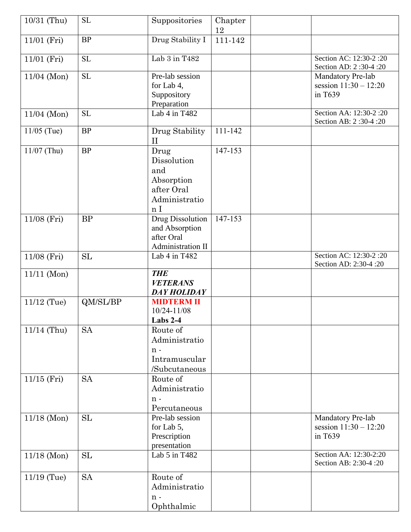| 10/31 (Thu)   | <b>SL</b>  | Suppositories                                                                             | Chapter<br>12 |                                                         |
|---------------|------------|-------------------------------------------------------------------------------------------|---------------|---------------------------------------------------------|
| 11/01 (Fri)   | <b>BP</b>  | Drug Stability I                                                                          | 111-142       |                                                         |
| 11/01 (Fri)   | <b>SL</b>  | Lab 3 in T482                                                                             |               | Section AC: 12:30-2:20<br>Section AD: 2:30-4:20         |
| 11/04 (Mon)   | SL         | Pre-lab session<br>for Lab 4,<br>Suppository<br>Preparation                               |               | Mandatory Pre-lab<br>session $11:30 - 12:20$<br>in T639 |
| $11/04$ (Mon) | <b>SL</b>  | Lab 4 in T482                                                                             |               | Section AA: 12:30-2:20<br>Section AB: 2:30-4:20         |
| $11/05$ (Tue) | BP         | Drug Stability<br>$_{\rm II}$                                                             | 111-142       |                                                         |
| $11/07$ (Thu) | <b>BP</b>  | Drug<br>Dissolution<br>and<br>Absorption<br>after Oral<br>Administratio<br>n <sub>I</sub> | 147-153       |                                                         |
| 11/08 (Fri)   | <b>BP</b>  | Drug Dissolution<br>and Absorption<br>after Oral<br>Administration II                     | 147-153       |                                                         |
| 11/08 (Fri)   | SL         | Lab 4 in T482                                                                             |               | Section AC: 12:30-2:20<br>Section AD: 2:30-4:20         |
| $11/11$ (Mon) |            | <b>THE</b><br><b>VETERANS</b><br><b>DAY HOLIDAY</b>                                       |               |                                                         |
| $11/12$ (Tue) | QM/SL/BP   | <b>MIDTERM II</b><br>10/24-11/08<br>Labs 2-4                                              |               |                                                         |
| $11/14$ (Thu) | <b>SA</b>  | Route of<br>Administratio<br>$n -$<br>Intramuscular<br>/Subcutaneous                      |               |                                                         |
| $11/15$ (Fri) | <b>SA</b>  | Route of<br>Administratio<br>$n -$<br>Percutaneous                                        |               |                                                         |
| $11/18$ (Mon) | ${\rm SL}$ | Pre-lab session<br>for Lab 5,<br>Prescription<br>presentation                             |               | Mandatory Pre-lab<br>session $11:30 - 12:20$<br>in T639 |
| $11/18$ (Mon) | <b>SL</b>  | Lab 5 in T482                                                                             |               | Section AA: 12:30-2:20<br>Section AB: 2:30-4 :20        |
| $11/19$ (Tue) | <b>SA</b>  | Route of<br>Administratio<br>$n -$<br>Ophthalmic                                          |               |                                                         |